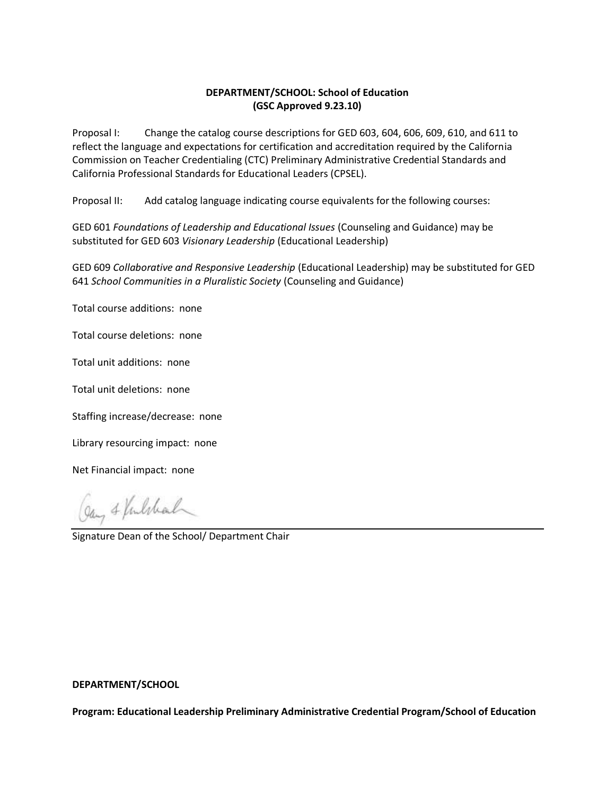# **DEPARTMENT/SCHOOL: School of Education (GSC Approved 9.23.10)**

Proposal I: Change the catalog course descriptions for GED 603, 604, 606, 609, 610, and 611 to reflect the language and expectations for certification and accreditation required by the California Commission on Teacher Credentialing (CTC) Preliminary Administrative Credential Standards and California Professional Standards for Educational Leaders (CPSEL).

Proposal II: Add catalog language indicating course equivalents for the following courses:

GED 601 *Foundations of Leadership and Educational Issues* (Counseling and Guidance) may be substituted for GED 603 *Visionary Leadership* (Educational Leadership)

GED 609 *Collaborative and Responsive Leadership* (Educational Leadership) may be substituted for GED 641 *School Communities in a Pluralistic Society* (Counseling and Guidance)

Total course additions: none

Total course deletions: none

Total unit additions: none

Total unit deletions: none

Staffing increase/decrease: none

Library resourcing impact: none

Net Financial impact: none

Gay & Vilchal

Signature Dean of the School/ Department Chair

### **DEPARTMENT/SCHOOL**

**Program: Educational Leadership Preliminary Administrative Credential Program/School of Education**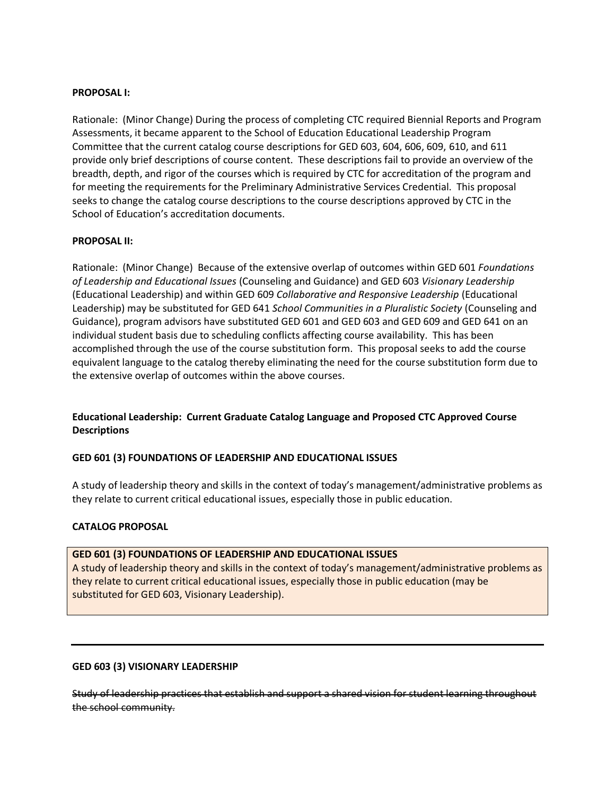#### **PROPOSAL I:**

Rationale: (Minor Change) During the process of completing CTC required Biennial Reports and Program Assessments, it became apparent to the School of Education Educational Leadership Program Committee that the current catalog course descriptions for GED 603, 604, 606, 609, 610, and 611 provide only brief descriptions of course content. These descriptions fail to provide an overview of the breadth, depth, and rigor of the courses which is required by CTC for accreditation of the program and for meeting the requirements for the Preliminary Administrative Services Credential. This proposal seeks to change the catalog course descriptions to the course descriptions approved by CTC in the School of Education's accreditation documents.

### **PROPOSAL II:**

Rationale: (Minor Change) Because of the extensive overlap of outcomes within GED 601 *Foundations of Leadership and Educational Issues* (Counseling and Guidance) and GED 603 *Visionary Leadership*  (Educational Leadership) and within GED 609 *Collaborative and Responsive Leadership* (Educational Leadership) may be substituted for GED 641 *School Communities in a Pluralistic Society* (Counseling and Guidance), program advisors have substituted GED 601 and GED 603 and GED 609 and GED 641 on an individual student basis due to scheduling conflicts affecting course availability. This has been accomplished through the use of the course substitution form. This proposal seeks to add the course equivalent language to the catalog thereby eliminating the need for the course substitution form due to the extensive overlap of outcomes within the above courses.

# **Educational Leadership: Current Graduate Catalog Language and Proposed CTC Approved Course Descriptions**

# **GED 601 (3) FOUNDATIONS OF LEADERSHIP AND EDUCATIONAL ISSUES**

A study of leadership theory and skills in the context of today's management/administrative problems as they relate to current critical educational issues, especially those in public education.

# **CATALOG PROPOSAL**

#### **GED 601 (3) FOUNDATIONS OF LEADERSHIP AND EDUCATIONAL ISSUES**

A study of leadership theory and skills in the context of today's management/administrative problems as they relate to current critical educational issues, especially those in public education (may be substituted for GED 603, Visionary Leadership).

# **GED 603 (3) VISIONARY LEADERSHIP**

Study of leadership practices that establish and support a shared vision for student learning throughout the school community.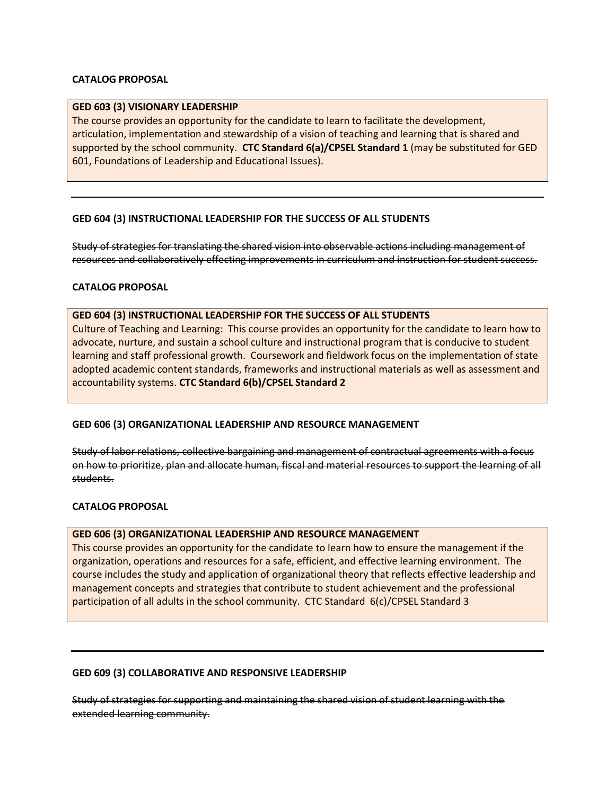# **CATALOG PROPOSAL**

### **GED 603 (3) VISIONARY LEADERSHIP**

The course provides an opportunity for the candidate to learn to facilitate the development, articulation, implementation and stewardship of a vision of teaching and learning that is shared and supported by the school community. **CTC Standard 6(a)/CPSEL Standard 1** (may be substituted for GED 601, Foundations of Leadership and Educational Issues).

# **GED 604 (3) INSTRUCTIONAL LEADERSHIP FOR THE SUCCESS OF ALL STUDENTS**

Study of strategies for translating the shared vision into observable actions including management of resources and collaboratively effecting improvements in curriculum and instruction for student success.

# **CATALOG PROPOSAL**

### **GED 604 (3) INSTRUCTIONAL LEADERSHIP FOR THE SUCCESS OF ALL STUDENTS**

Culture of Teaching and Learning: This course provides an opportunity for the candidate to learn how to advocate, nurture, and sustain a school culture and instructional program that is conducive to student learning and staff professional growth. Coursework and fieldwork focus on the implementation of state adopted academic content standards, frameworks and instructional materials as well as assessment and accountability systems. **CTC Standard 6(b)/CPSEL Standard 2**

# **GED 606 (3) ORGANIZATIONAL LEADERSHIP AND RESOURCE MANAGEMENT**

Study of labor relations, collective bargaining and management of contractual agreements with a focus on how to prioritize, plan and allocate human, fiscal and material resources to support the learning of all students.

#### **CATALOG PROPOSAL**

# **GED 606 (3) ORGANIZATIONAL LEADERSHIP AND RESOURCE MANAGEMENT**

This course provides an opportunity for the candidate to learn how to ensure the management if the organization, operations and resources for a safe, efficient, and effective learning environment. The course includes the study and application of organizational theory that reflects effective leadership and management concepts and strategies that contribute to student achievement and the professional participation of all adults in the school community. CTC Standard 6(c)/CPSEL Standard 3

#### **GED 609 (3) COLLABORATIVE AND RESPONSIVE LEADERSHIP**

Study of strategies for supporting and maintaining the shared vision of student learning with the extended learning community.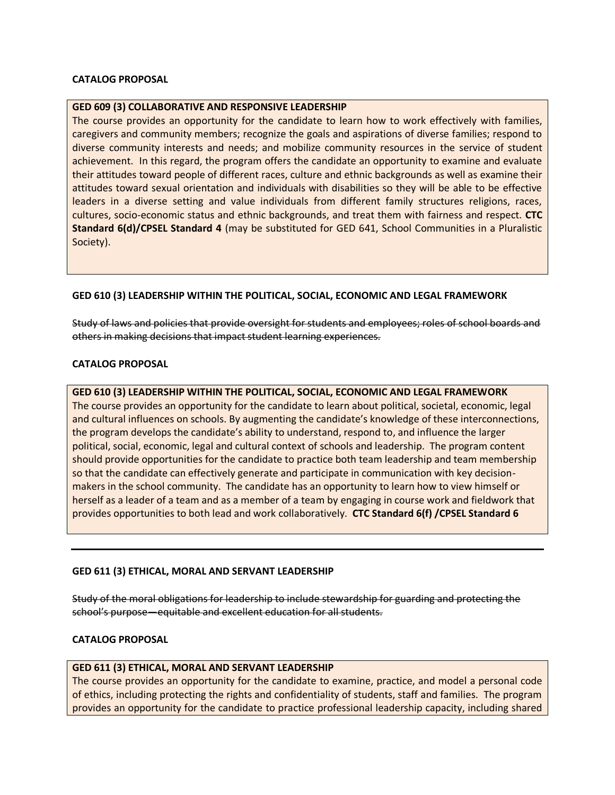### **CATALOG PROPOSAL**

#### **GED 609 (3) COLLABORATIVE AND RESPONSIVE LEADERSHIP**

The course provides an opportunity for the candidate to learn how to work effectively with families, caregivers and community members; recognize the goals and aspirations of diverse families; respond to diverse community interests and needs; and mobilize community resources in the service of student achievement. In this regard, the program offers the candidate an opportunity to examine and evaluate their attitudes toward people of different races, culture and ethnic backgrounds as well as examine their attitudes toward sexual orientation and individuals with disabilities so they will be able to be effective leaders in a diverse setting and value individuals from different family structures religions, races, cultures, socio-economic status and ethnic backgrounds, and treat them with fairness and respect. **CTC Standard 6(d)/CPSEL Standard 4** (may be substituted for GED 641, School Communities in a Pluralistic Society).

### **GED 610 (3) LEADERSHIP WITHIN THE POLITICAL, SOCIAL, ECONOMIC AND LEGAL FRAMEWORK**

Study of laws and policies that provide oversight for students and employees; roles of school boards and others in making decisions that impact student learning experiences.

### **CATALOG PROPOSAL**

#### **GED 610 (3) LEADERSHIP WITHIN THE POLITICAL, SOCIAL, ECONOMIC AND LEGAL FRAMEWORK**

The course provides an opportunity for the candidate to learn about political, societal, economic, legal and cultural influences on schools. By augmenting the candidate's knowledge of these interconnections, the program develops the candidate's ability to understand, respond to, and influence the larger political, social, economic, legal and cultural context of schools and leadership. The program content should provide opportunities for the candidate to practice both team leadership and team membership so that the candidate can effectively generate and participate in communication with key decisionmakers in the school community. The candidate has an opportunity to learn how to view himself or herself as a leader of a team and as a member of a team by engaging in course work and fieldwork that provides opportunities to both lead and work collaboratively. **CTC Standard 6(f) /CPSEL Standard 6**

#### **GED 611 (3) ETHICAL, MORAL AND SERVANT LEADERSHIP**

Study of the moral obligations for leadership to include stewardship for guarding and protecting the school's purpose—equitable and excellent education for all students.

#### **CATALOG PROPOSAL**

#### **GED 611 (3) ETHICAL, MORAL AND SERVANT LEADERSHIP**

The course provides an opportunity for the candidate to examine, practice, and model a personal code of ethics, including protecting the rights and confidentiality of students, staff and families. The program provides an opportunity for the candidate to practice professional leadership capacity, including shared